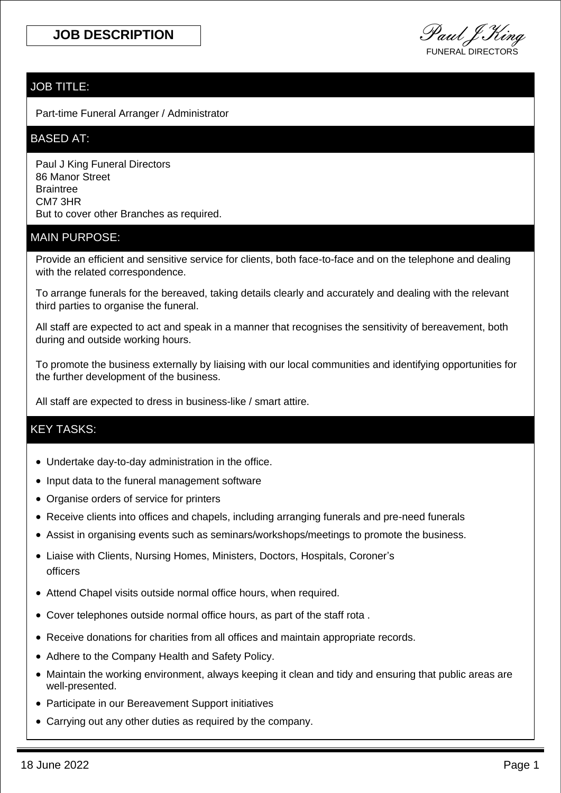**JOB DESCRIPTION** Paul J King FUNERAL DIRECTORS

## JOB TITLE:

Part-time Funeral Arranger / Administrator

#### BASED AT:

Paul J King Funeral Directors 86 Manor Street **Braintree** CM7 3HR But to cover other Branches as required.

### MAIN PURPOSE:

Provide an efficient and sensitive service for clients, both face-to-face and on the telephone and dealing with the related correspondence.

To arrange funerals for the bereaved, taking details clearly and accurately and dealing with the relevant third parties to organise the funeral.

All staff are expected to act and speak in a manner that recognises the sensitivity of bereavement, both during and outside working hours.

To promote the business externally by liaising with our local communities and identifying opportunities for the further development of the business.

All staff are expected to dress in business-like / smart attire.

## KEY TASKS:

- Undertake day-to-day administration in the office.
- Input data to the funeral management software
- Organise orders of service for printers
- Receive clients into offices and chapels, including arranging funerals and pre-need funerals
- Assist in organising events such as seminars/workshops/meetings to promote the business.
- Liaise with Clients, Nursing Homes, Ministers, Doctors, Hospitals, Coroner's officers
- Attend Chapel visits outside normal office hours, when required.
- Cover telephones outside normal office hours, as part of the staff rota .
- Receive donations for charities from all offices and maintain appropriate records.
- Adhere to the Company Health and Safety Policy.
- Maintain the working environment, always keeping it clean and tidy and ensuring that public areas are well-presented.
- Participate in our Bereavement Support initiatives
- Carrying out any other duties as required by the company.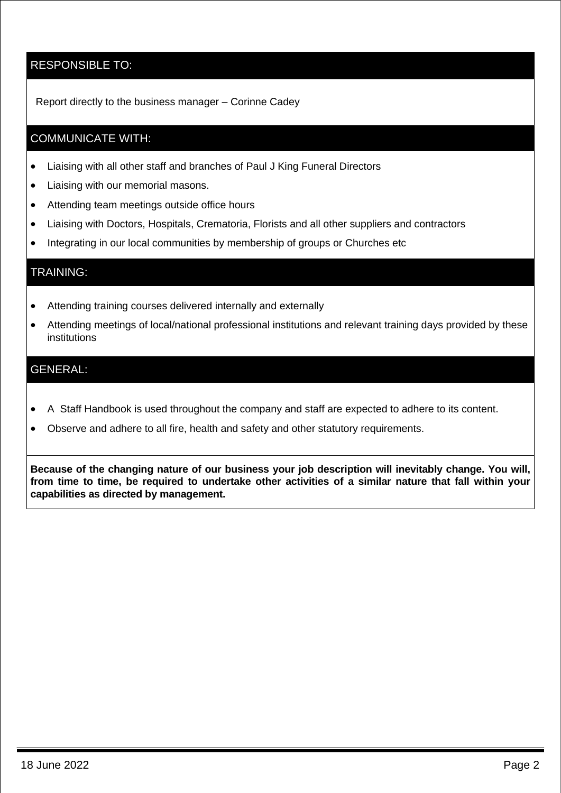## RESPONSIBLE TO:

Report directly to the business manager – Corinne Cadey

## COMMUNICATE WITH:

- Liaising with all other staff and branches of Paul J King Funeral Directors
- Liaising with our memorial masons.
- Attending team meetings outside office hours
- Liaising with Doctors, Hospitals, Crematoria, Florists and all other suppliers and contractors
- Integrating in our local communities by membership of groups or Churches etc

### TRAINING:

- Attending training courses delivered internally and externally
- Attending meetings of local/national professional institutions and relevant training days provided by these institutions

## GENERAL:

- A Staff Handbook is used throughout the company and staff are expected to adhere to its content.
- Observe and adhere to all fire, health and safety and other statutory requirements.

**Because of the changing nature of our business your job description will inevitably change. You will, from time to time, be required to undertake other activities of a similar nature that fall within your capabilities as directed by management.**